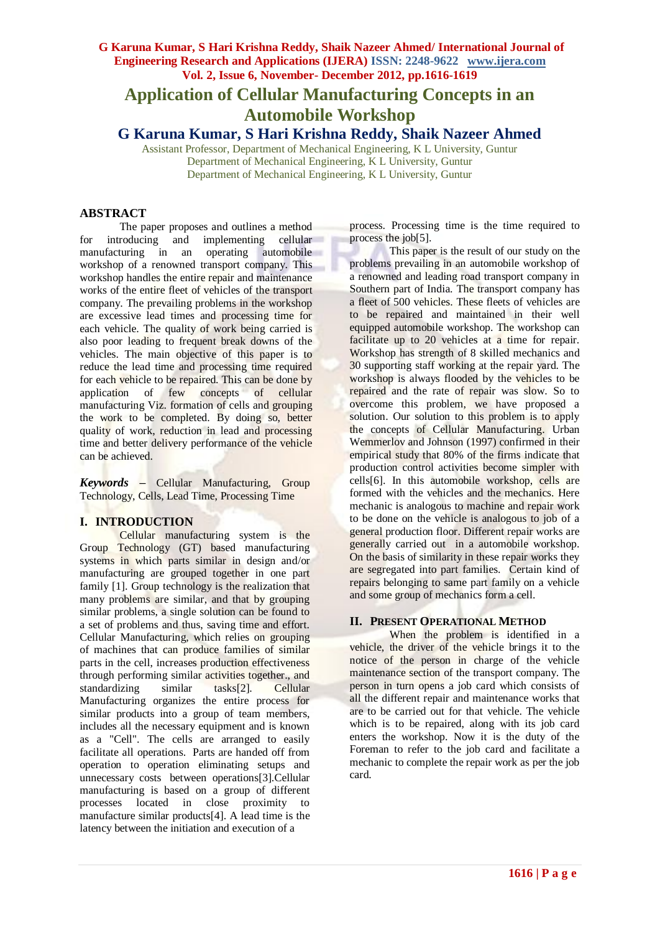# **Application of Cellular Manufacturing Concepts in an Automobile Workshop**

**G Karuna Kumar, S Hari Krishna Reddy, Shaik Nazeer Ahmed**

Assistant Professor, Department of Mechanical Engineering, K L University, Guntur Department of Mechanical Engineering, K L University, Guntur Department of Mechanical Engineering, K L University, Guntur

## **ABSTRACT**

The paper proposes and outlines a method for introducing and implementing cellular manufacturing in an operating automobile workshop of a renowned transport company. This workshop handles the entire repair and maintenance works of the entire fleet of vehicles of the transport company. The prevailing problems in the workshop are excessive lead times and processing time for each vehicle. The quality of work being carried is also poor leading to frequent break downs of the vehicles. The main objective of this paper is to reduce the lead time and processing time required for each vehicle to be repaired. This can be done by application of few concepts of cellular manufacturing Viz. formation of cells and grouping the work to be completed. By doing so, better quality of work, reduction in lead and processing time and better delivery performance of the vehicle can be achieved.

*Keywords* **–** Cellular Manufacturing, Group Technology, Cells, Lead Time, Processing Time

#### **I. INTRODUCTION**

Cellular manufacturing system is the Group Technology (GT) based manufacturing systems in which parts similar in design and/or manufacturing are grouped together in one part family [1]. Group technology is the realization that many problems are similar, and that by grouping similar problems, a single solution can be found to a set of problems and thus, saving time and effort. Cellular Manufacturing, which relies on grouping of machines that can produce families of similar parts in the cell, increases production effectiveness through performing similar activities together., and standardizing similar tasks[2]. Cellular Manufacturing organizes the entire process for similar products into a group of team members, includes all the necessary equipment and is known as a "Cell". The cells are arranged to easily facilitate all operations. Parts are handed off from operation to operation eliminating setups and unnecessary costs between operations[3].Cellular manufacturing is based on a group of different processes located in close proximity to manufacture similar products[4]. A lead time is the latency between the initiation and execution of a

process. Processing time is the time required to process the job[5].

This paper is the result of our study on the problems prevailing in an automobile workshop of a renowned and leading road transport company in Southern part of India. The transport company has a fleet of 500 vehicles. These fleets of vehicles are to be repaired and maintained in their well equipped automobile workshop. The workshop can facilitate up to 20 vehicles at a time for repair. Workshop has strength of 8 skilled mechanics and 30 supporting staff working at the repair yard. The workshop is always flooded by the vehicles to be repaired and the rate of repair was slow. So to overcome this problem, we have proposed a solution. Our solution to this problem is to apply the concepts of Cellular Manufacturing. Urban Wemmerlov and Johnson (1997) confirmed in their empirical study that 80% of the firms indicate that production control activities become simpler with cells[6]. In this automobile workshop, cells are formed with the vehicles and the mechanics. Here mechanic is analogous to machine and repair work to be done on the vehicle is analogous to job of a general production floor. Different repair works are generally carried out in a automobile workshop. On the basis of similarity in these repair works they are segregated into part families. Certain kind of repairs belonging to same part family on a vehicle and some group of mechanics form a cell.

#### **II. PRESENT OPERATIONAL METHOD**

When the problem is identified in a vehicle, the driver of the vehicle brings it to the notice of the person in charge of the vehicle maintenance section of the transport company. The person in turn opens a job card which consists of all the different repair and maintenance works that are to be carried out for that vehicle. The vehicle which is to be repaired, along with its job card enters the workshop. Now it is the duty of the Foreman to refer to the job card and facilitate a mechanic to complete the repair work as per the job card.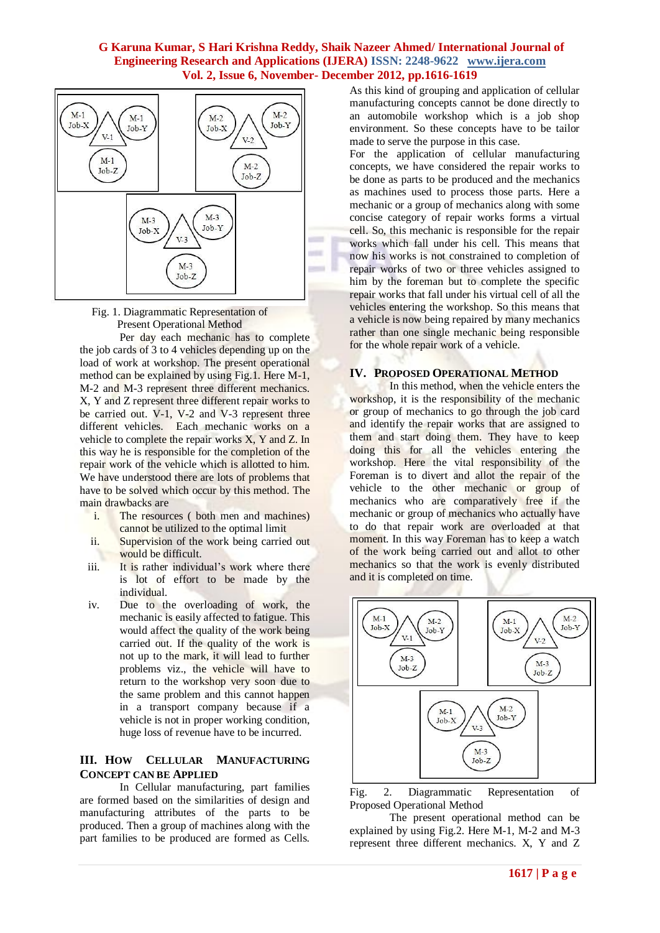



Per day each mechanic has to complete the job cards of 3 to 4 vehicles depending up on the load of work at workshop. The present operational method can be explained by using Fig.1. Here M-1, M-2 and M-3 represent three different mechanics. X, Y and Z represent three different repair works to be carried out. V-1, V-2 and V-3 represent three different vehicles. Each mechanic works on a vehicle to complete the repair works X, Y and Z. In this way he is responsible for the completion of the repair work of the vehicle which is allotted to him. We have understood there are lots of problems that have to be solved which occur by this method. The main drawbacks are

- i. The resources ( both men and machines) cannot be utilized to the optimal limit
- ii. Supervision of the work being carried out would be difficult.
- iii. It is rather individual's work where there is lot of effort to be made by the individual.
- iv. Due to the overloading of work, the mechanic is easily affected to fatigue. This would affect the quality of the work being carried out. If the quality of the work is not up to the mark, it will lead to further problems viz., the vehicle will have to return to the workshop very soon due to the same problem and this cannot happen in a transport company because if a vehicle is not in proper working condition, huge loss of revenue have to be incurred.

#### **III. HOW CELLULAR MANUFACTURING CONCEPT CAN BE APPLIED**

In Cellular manufacturing, part families are formed based on the similarities of design and manufacturing attributes of the parts to be produced. Then a group of machines along with the part families to be produced are formed as Cells.

As this kind of grouping and application of cellular manufacturing concepts cannot be done directly to an automobile workshop which is a job shop environment. So these concepts have to be tailor made to serve the purpose in this case.

For the application of cellular manufacturing concepts, we have considered the repair works to be done as parts to be produced and the mechanics as machines used to process those parts. Here a mechanic or a group of mechanics along with some concise category of repair works forms a virtual cell. So, this mechanic is responsible for the repair works which fall under his cell. This means that now his works is not constrained to completion of repair works of two or three vehicles assigned to him by the foreman but to complete the specific repair works that fall under his virtual cell of all the vehicles entering the workshop. So this means that a vehicle is now being repaired by many mechanics rather than one single mechanic being responsible for the whole repair work of a vehicle.

#### **IV. PROPOSED OPERATIONAL METHOD**

In this method, when the vehicle enters the workshop, it is the responsibility of the mechanic or group of mechanics to go through the job card and identify the repair works that are assigned to them and start doing them. They have to keep doing this for all the vehicles entering the workshop. Here the vital responsibility of the Foreman is to divert and allot the repair of the vehicle to the other mechanic or group of mechanics who are comparatively free if the mechanic or group of mechanics who actually have to do that repair work are overloaded at that moment. In this way Foreman has to keep a watch of the work being carried out and allot to other mechanics so that the work is evenly distributed and it is completed on time.



Fig. 2. Diagrammatic Representation of Proposed Operational Method

The present operational method can be explained by using Fig.2. Here M-1, M-2 and M-3 represent three different mechanics. X, Y and Z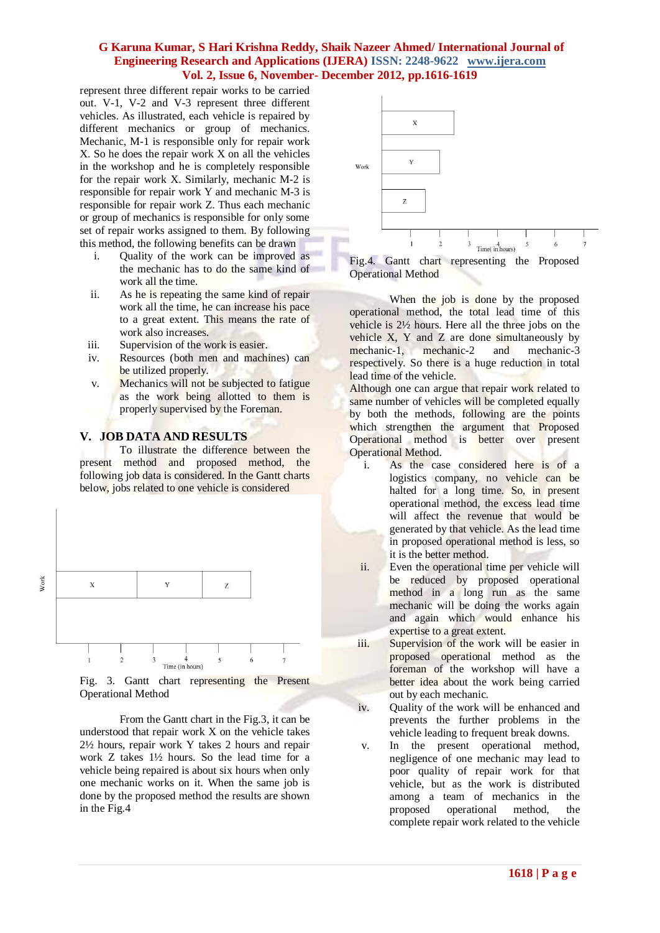represent three different repair works to be carried out. V-1, V-2 and V-3 represent three different vehicles. As illustrated, each vehicle is repaired by different mechanics or group of mechanics. Mechanic, M-1 is responsible only for repair work X. So he does the repair work X on all the vehicles in the workshop and he is completely responsible for the repair work X. Similarly, mechanic M-2 is responsible for repair work Y and mechanic M-3 is responsible for repair work Z. Thus each mechanic or group of mechanics is responsible for only some set of repair works assigned to them. By following this method, the following benefits can be drawn

- i. Quality of the work can be improved as the mechanic has to do the same kind of work all the time.
- ii. As he is repeating the same kind of repair work all the time, he can increase his pace to a great extent. This means the rate of work also increases.
- iii. Supervision of the work is easier.
- iv. Resources (both men and machines) can be utilized properly.
- v. Mechanics will not be subjected to fatigue as the work being allotted to them is properly supervised by the Foreman.

## **V. JOB DATA AND RESULTS**

To illustrate the difference between the present method and proposed method, the following job data is considered. In the Gantt charts below, jobs related to one vehicle is considered



Work

Fig. 3. Gantt chart representing the Present Operational Method

From the Gantt chart in the Fig.3, it can be understood that repair work X on the vehicle takes 2½ hours, repair work Y takes 2 hours and repair work Z takes 1½ hours. So the lead time for a vehicle being repaired is about six hours when only one mechanic works on it. When the same job is done by the proposed method the results are shown in the Fig.4



Fig.4. Gantt chart representing the Proposed Operational Method

When the job is done by the proposed operational method, the total lead time of this vehicle is 2½ hours. Here all the three jobs on the vehicle X, Y and Z are done simultaneously by mechanic-1, mechanic-2 and mechanic-3 respectively. So there is a huge reduction in total lead time of the vehicle.

Although one can argue that repair work related to same number of vehicles will be completed equally by both the methods, following are the points which strengthen the argument that Proposed Operational method is better over present Operational Method.

- i. As the case considered here is of a logistics company, no vehicle can be halted for a long time. So, in present operational method, the excess lead time will affect the revenue that would be generated by that vehicle. As the lead time in proposed operational method is less, so it is the better method.
- ii. Even the operational time per vehicle will be reduced by proposed operational method in a long run as the same mechanic will be doing the works again and again which would enhance his expertise to a great extent.
- iii. Supervision of the work will be easier in proposed operational method as the foreman of the workshop will have a better idea about the work being carried out by each mechanic.
- iv. Quality of the work will be enhanced and prevents the further problems in the vehicle leading to frequent break downs.
- v. In the present operational method, negligence of one mechanic may lead to poor quality of repair work for that vehicle, but as the work is distributed among a team of mechanics in the proposed operational method, the complete repair work related to the vehicle